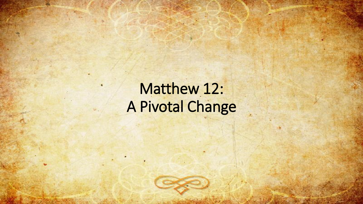# Matthew 12: A Pivotal Change

 $\mathbf{y}$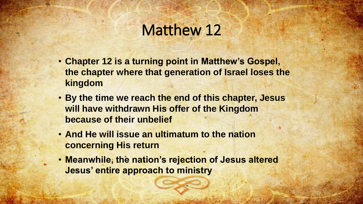#### Matthew 12

- **Chapter 12 is a turning point in Matthew's Gospel, the chapter where that generation of Israel loses the kingdom**
- **By the time we reach the end of this chapter, Jesus will have withdrawn His offer of the Kingdom because of their unbelief**
- **And He will issue an ultimatum to the nation concerning His return**
- **Meanwhile, the nation's rejection of Jesus altered Jesus' entire approach to ministry**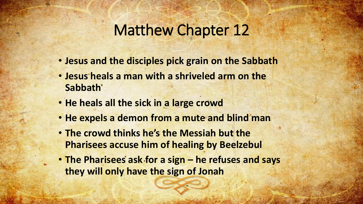#### Matthew Chapter 12

- **Jesus and the disciples pick grain on the Sabbath**
- **Jesus heals a man with a shriveled arm on the Sabbath**
- **He heals all the sick in a large crowd**
- **He expels a demon from a mute and blind man**
- **The crowd thinks he's the Messiah but the Pharisees accuse him of healing by Beelzebul**
- **The Pharisees ask for a sign – he refuses and says they will only have the sign of Jonah**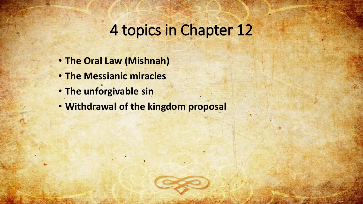# 4 topics in Chapter 12

- **The Oral Law (Mishnah)**
- **The Messianic miracles**
- **The unforgivable sin**
- **Withdrawal of the kingdom proposal**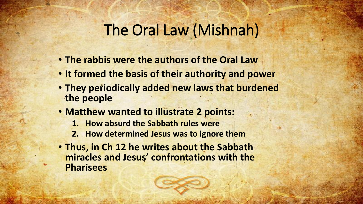## The Oral Law (Mishnah)

- **The rabbis were the authors of the Oral Law**
- **It formed the basis of their authority and power**
- **They periodically added new laws that burdened the people**
- **Matthew wanted to illustrate 2 points:** 
	- **1. How absurd the Sabbath rules were**
	- **2. How determined Jesus was to ignore them**
- **Thus, in Ch 12 he writes about the Sabbath miracles and Jesus' confrontations with the Pharisees**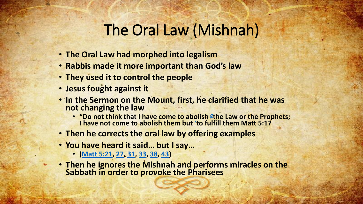#### The Oral Law (Mishnah)

- **The Oral Law had morphed into legalism**
- **Rabbis made it more important than God's law**
- **They used it to control the people**
- **Jesus fought against it**
- **In the Sermon on the Mount, first, he clarified that he was not changing the law** 
	- **"Do not think that I have come to abolish** *I* **the Law or the Prophets; I have not come to abolish them but** *[r](https://biblia.com/books/esv/Mt5.14)* **to fulfill them Matt 5:17**
- **Then he corrects the oral law by offering examples**
- **You have heard it said… but I say…**
	- **[\(Matt 5:21,](https://biblia.com/bible/esv/Matt%205.21) [27](https://biblia.com/bible/esv/Matt%205.27), [31](https://biblia.com/bible/esv/Matt%205.31), [33](https://biblia.com/bible/esv/Matt%205.33), [38](https://biblia.com/bible/esv/Matt%205.38), [43\)](https://biblia.com/bible/esv/Matt%205.43)**
- **Then he ignores the Mishnah and performs miracles on the Sabbath in order to provoke the Pharisees**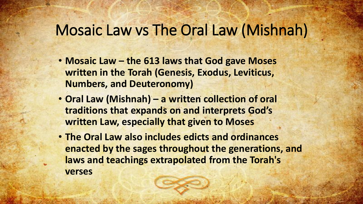## Mosaic Law vs The Oral Law (Mishnah)

- **Mosaic Law – the 613 laws that God gave Moses written in the Torah (Genesis, Exodus, Leviticus, Numbers, and Deuteronomy)**
- **Oral Law (Mishnah) – a written collection of oral traditions that expands on and interprets God's written Law, especially that given to Moses**
- **The Oral Law also includes edicts and ordinances enacted by the sages throughout the generations, and laws and teachings extrapolated from the Torah's verses**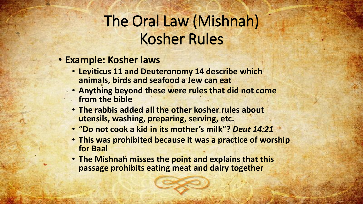# The Oral Law (Mishnah) Kosher Rules

- **Example: Kosher laws**
	- **Leviticus 11 and Deuteronomy 14 describe which animals, birds and seafood a Jew can eat**
	- **Anything beyond these were rules that did not come from the bible**
	- **The rabbis added all the other kosher rules about utensils, washing, preparing, serving, etc.**
	- **"Do not cook a kid in its mother's milk"?** *Deut 14:21*
	- **This was prohibited because it was a practice of worship for Baal**
	- **The Mishnah misses the point and explains that this passage prohibits eating meat and dairy together**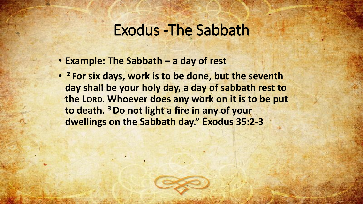#### Exodus -The Sabbath

- **Example: The Sabbath – a day of rest**
- **<sup>2</sup> For six days, work is to be done, but the seventh day shall be your holy day, a day of sabbath rest to the LORD. Whoever does any work on it is to be put to death. <sup>3</sup>Do not light a fire in any of your dwellings on the Sabbath day." Exodus 35:2-3**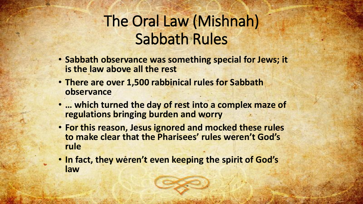# The Oral Law (Mishnah) Sabbath Rules

- **Sabbath observance was something special for Jews; it is the law above all the rest**
- **There are over 1,500 rabbinical rules for Sabbath observance**
- **… which turned the day of rest into a complex maze of regulations bringing burden and worry**
- **For this reason, Jesus ignored and mocked these rules to make clear that the Pharisees' rules weren't God's rule**
- **In fact, they weren't even keeping the spirit of God's law**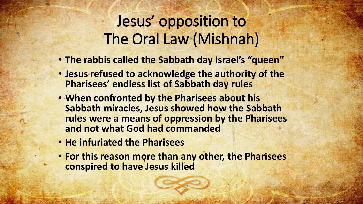# Jesus' opposition to The Oral Law (Mishnah)

- **The rabbis called the Sabbath day Israel's "queen"**
- **Jesus refused to acknowledge the authority of the Pharisees' endless list of Sabbath day rules**
- **When confronted by the Pharisees about his Sabbath miracles, Jesus showed how the Sabbath rules were a means of oppression by the Pharisees and not what God had commanded**
- **He infuriated the Pharisees**
- **For this reason more than any other, the Pharisees conspired to have Jesus killed**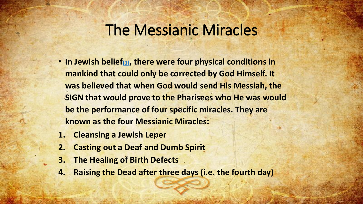- **In Jewish belief[\[1\]](https://www.haderekministries.com/index.php/articles/62-old-testament-new-testament-typology/164-the-four-messianic-miracles#_ftn1), there were four physical conditions in mankind that could only be corrected by God Himself. It was believed that when God would send His Messiah, the SIGN that would prove to the Pharisees who He was would be the performance of four specific miracles. They are known as the four Messianic Miracles:**
- **1. Cleansing a Jewish Leper**
- **2. Casting out a Deaf and Dumb Spirit**
- **3. The Healing of Birth Defects**
- **4. Raising the Dead after three days (i.e. the fourth day)**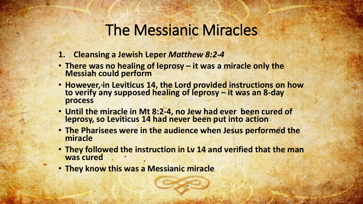- **1. Cleansing a Jewish Leper** *Matthew 8:2-4*
- **There was no healing of leprosy – it was a miracle only the Messiah could perform**
- **However, in Leviticus 14, the Lord provided instructions on how to verify any supposed healing of leprosy – it was an 8-day process**
- **Until the miracle in Mt 8:2-4, no Jew had ever been cured of leprosy, so Leviticus 14 had never been put into action**
- **The Pharisees were in the audience when Jesus performed the miracle**
- **They followed the instruction in Lv 14 and verified that the man was cured**
- **They know this was a Messianic miracle**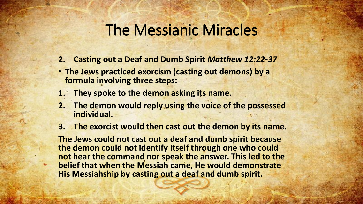- **2. Casting out a Deaf and Dumb Spirit** *Matthew 12:22-37*
- **The Jews practiced exorcism (casting out demons) by a formula involving three steps:**
- **1. They spoke to the demon asking its name.**
- **2. The demon would reply using the voice of the possessed individual.**
- **3. The exorcist would then cast out the demon by its name.**

**The Jews could not cast out a deaf and dumb spirit because the demon could not identify itself through one who could not hear the command nor speak the answer. This led to the belief that when the Messiah came, He would demonstrate His Messiahship by casting out a deaf and dumb spirit.**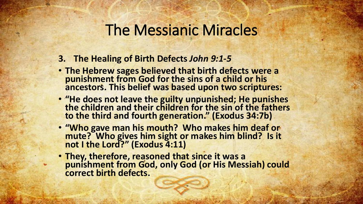- **3. The Healing of Birth Defects** *John 9:1-5*
- **The Hebrew sages believed that birth defects were a punishment from God for the sins of a child or his ancestors. This belief was based upon two scriptures:**
- **"He does not leave the guilty unpunished; He punishes the children and their children for the sin of the fathers to the third and fourth generation." (Exodus 34:7b)**
- **"Who gave man his mouth? Who makes him deaf or mute? Who gives him sight or makes him blind? Is it not I the Lord?" (Exodus 4:11)**
- **They, therefore, reasoned that since it was a punishment from God, only God (or His Messiah) could correct birth defects.**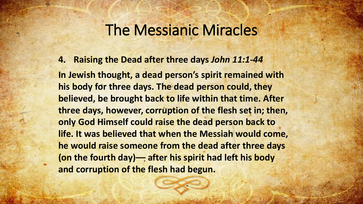**4. Raising the Dead after three days** *John 11:1-44*

**In Jewish thought, a dead person's spirit remained with his body for three days. The dead person could, they believed, be brought back to life within that time. After three days, however, corruption of the flesh set in; then, only God Himself could raise the dead person back to life. It was believed that when the Messiah would come, he would raise someone from the dead after three days (on the fourth day)–– after his spirit had left his body and corruption of the flesh had begun.**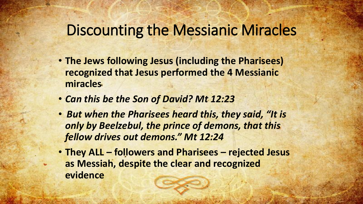# Discounting the Messianic Miracles

- **The Jews following Jesus (including the Pharisees) recognized that Jesus performed the 4 Messianic miracles**
- *Can this be the Son of David? Mt 12:23*
- *But when the Pharisees heard this, they said, "It is only by Beelzebul, the prince of demons, that this fellow drives out demons." Mt 12:24*
- **They ALL – followers and Pharisees – rejected Jesus as Messiah, despite the clear and recognized evidence**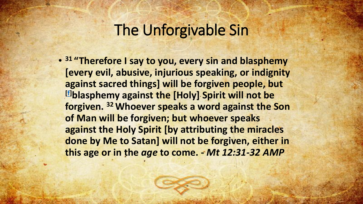• **<sup>31</sup> "Therefore I say to you, every sin and blasphemy [every evil, abusive, injurious speaking, or indignity against sacred things] will be forgiven people, but [\[f\]](https://www.biblegateway.com/passage/?search=Matthew%2012&version=AMP#fen-AMP-23521f)blasphemy against the [Holy] Spirit will not be forgiven. <sup>32</sup> Whoever speaks a word against the Son of Man will be forgiven; but whoever speaks against the Holy Spirit [by attributing the miracles done by Me to Satan] will not be forgiven, either in this age or in the** *age* **to come. -** *Mt 12:31-32 AMP*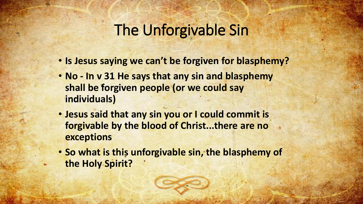- **Is Jesus saying we can't be forgiven for blasphemy?**
- **No - In v 31 He says that any sin and blasphemy shall be forgiven people (or we could say individuals)**
- **Jesus said that any sin you or I could commit is forgivable by the blood of Christ...there are no exceptions**
- **So what is this unforgivable sin, the blasphemy of the Holy Spirit?**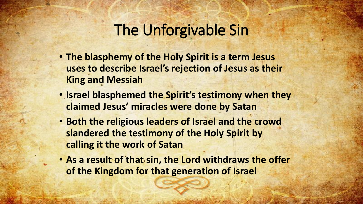- **The blasphemy of the Holy Spirit is a term Jesus uses to describe Israel's rejection of Jesus as their King and Messiah**
- **Israel blasphemed the Spirit's testimony when they claimed Jesus' miracles were done by Satan**
- **Both the religious leaders of Israel and the crowd slandered the testimony of the Holy Spirit by calling it the work of Satan**
- **As a result of that sin, the Lord withdraws the offer of the Kingdom for that generation of Israel**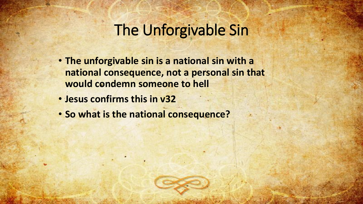- **The unforgivable sin is a national sin with a national consequence, not a personal sin that would condemn someone to hell**
- **Jesus confirms this in v32**
- **So what is the national consequence?**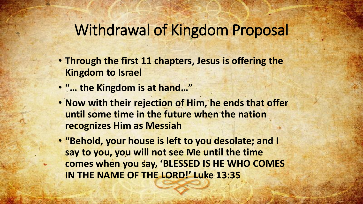#### Withdrawal of Kingdom Proposal

- **Through the first 11 chapters, Jesus is offering the Kingdom to Israel**
- **"… the Kingdom is at hand…"**
- **Now with their rejection of Him, he ends that offer until some time in the future when the nation recognizes Him as Messiah**
- **"Behold, your house is left to you desolate; and I say to you, you will not see Me until the time comes when you say, 'BLESSED IS HE WHO COMES IN THE NAME OF THE LORD!' Luke 13:35**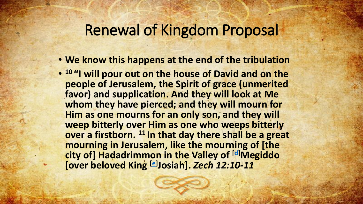#### Renewal of Kingdom Proposal

- **We know this happens at the end of the tribulation**
- **<sup>10</sup> "I will pour out on the house of David and on the people of Jerusalem, the Spirit of grace (unmerited favor) and supplication. And they will look at Me whom they have pierced; and they will mourn for Him as one mourns for an only son, and they will weep bitterly over Him as one who weeps bitterly over a firstborn. <sup>11</sup> In that day there shall be a great mourning in Jerusalem, like the mourning of [the city of] Hadadrimmon in the Valley of [[d\]](https://www.biblegateway.com/passage/?search=zech+12&version=AMP#fen-AMP-23057d)Megiddo [over beloved King [\[e\]](https://www.biblegateway.com/passage/?search=zech+12&version=AMP#fen-AMP-23057e) Josiah].** *Zech 12:10-11*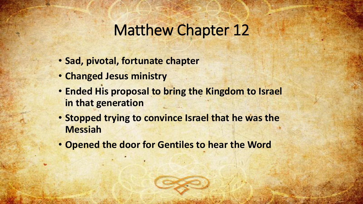### Matthew Chapter 12

- **Sad, pivotal, fortunate chapter**
- **Changed Jesus ministry**
- **Ended His proposal to bring the Kingdom to Israel in that generation**
- **Stopped trying to convince Israel that he was the Messiah**
- **Opened the door for Gentiles to hear the Word**